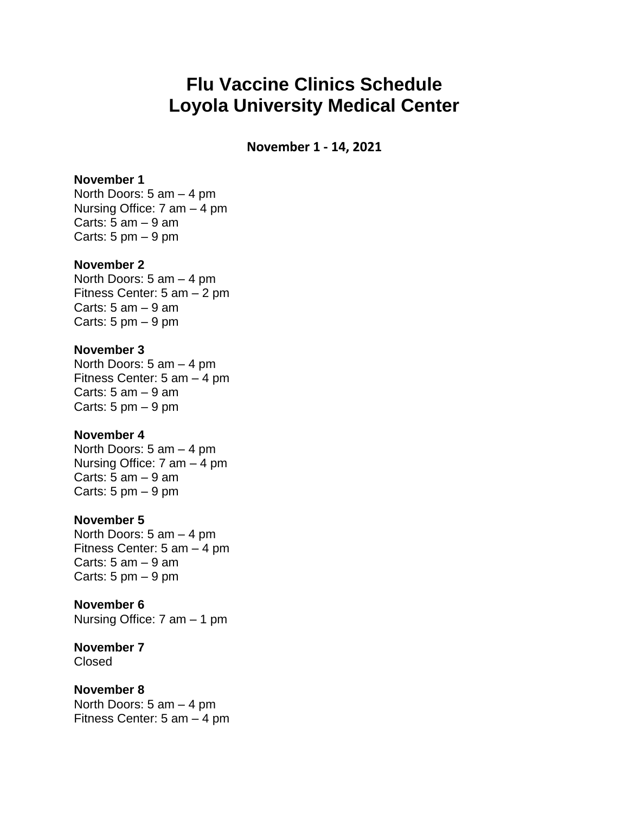# **Flu Vaccine Clinics Schedule Loyola University Medical Center**

**November 1 - 14, 2021**

### **November 1**

North Doors: 5 am – 4 pm Nursing Office: 7 am – 4 pm Carts:  $5$  am  $-9$  am Carts:  $5 \text{ pm} - 9 \text{ pm}$ 

### **November 2**

North Doors: 5 am – 4 pm Fitness Center: 5 am – 2 pm Carts:  $5$  am  $-9$  am Carts:  $5 \text{ pm} - 9 \text{ pm}$ 

### **November 3**

North Doors: 5 am – 4 pm Fitness Center: 5 am – 4 pm Carts:  $5$  am  $-9$  am Carts:  $5 \text{ pm} - 9 \text{ pm}$ 

#### **November 4**

North Doors: 5 am – 4 pm Nursing Office: 7 am – 4 pm Carts:  $5$  am  $-9$  am Carts:  $5 \text{ pm} - 9 \text{ pm}$ 

### **November 5**

North Doors: 5 am – 4 pm Fitness Center: 5 am – 4 pm Carts:  $5$  am  $-9$  am Carts:  $5 \text{ pm} - 9 \text{ pm}$ 

### **November 6**

Nursing Office: 7 am – 1 pm

### **November 7**

Closed

### **November 8**

North Doors: 5 am – 4 pm Fitness Center: 5 am – 4 pm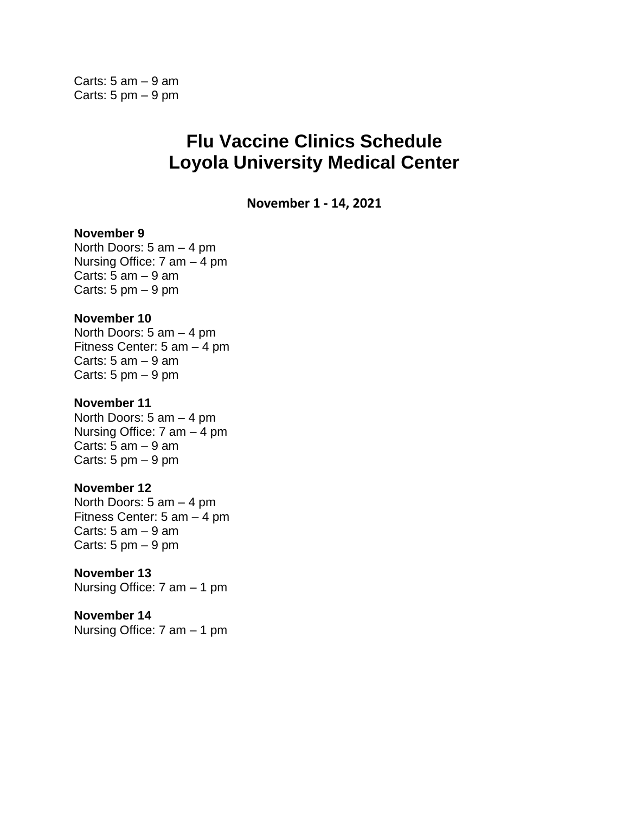## **Flu Vaccine Clinics Schedule Loyola University Medical Center**

**November 1 - 14, 2021**

### **November 9**

North Doors: 5 am – 4 pm Nursing Office: 7 am – 4 pm Carts:  $5$  am  $-9$  am Carts:  $5 \text{ pm} - 9 \text{ pm}$ 

### **November 10**

North Doors: 5 am – 4 pm Fitness Center: 5 am – 4 pm Carts:  $5$  am  $-9$  am Carts:  $5 \text{ pm} - 9 \text{ pm}$ 

### **November 11**

North Doors: 5 am – 4 pm Nursing Office: 7 am – 4 pm Carts:  $5$  am  $-9$  am Carts:  $5 \text{ pm} - 9 \text{ pm}$ 

### **November 12**

North Doors: 5 am – 4 pm Fitness Center: 5 am – 4 pm Carts:  $5$  am  $-9$  am Carts:  $5 \text{ pm} - 9 \text{ pm}$ 

**November 13** Nursing Office: 7 am – 1 pm

**November 14** Nursing Office: 7 am – 1 pm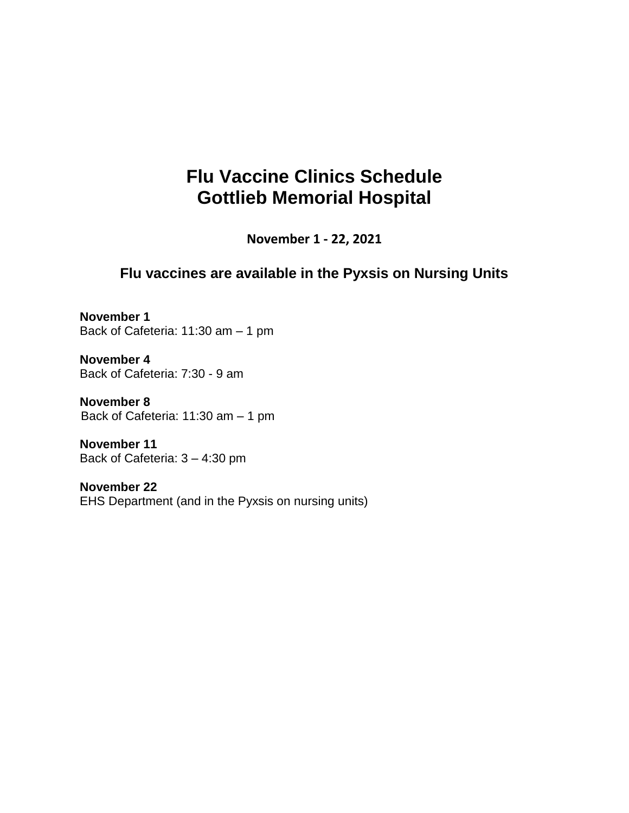# **Flu Vaccine Clinics Schedule Gottlieb Memorial Hospital**

**November 1 - 22, 2021**

### **Flu vaccines are available in the Pyxsis on Nursing Units**

**November 1**  Back of Cafeteria: 11:30 am – 1 pm

**November 4** Back of Cafeteria: 7:30 - 9 am

**November 8** Back of Cafeteria: 11:30 am – 1 pm

**November 11** Back of Cafeteria: 3 – 4:30 pm

**November 22** EHS Department (and in the Pyxsis on nursing units)